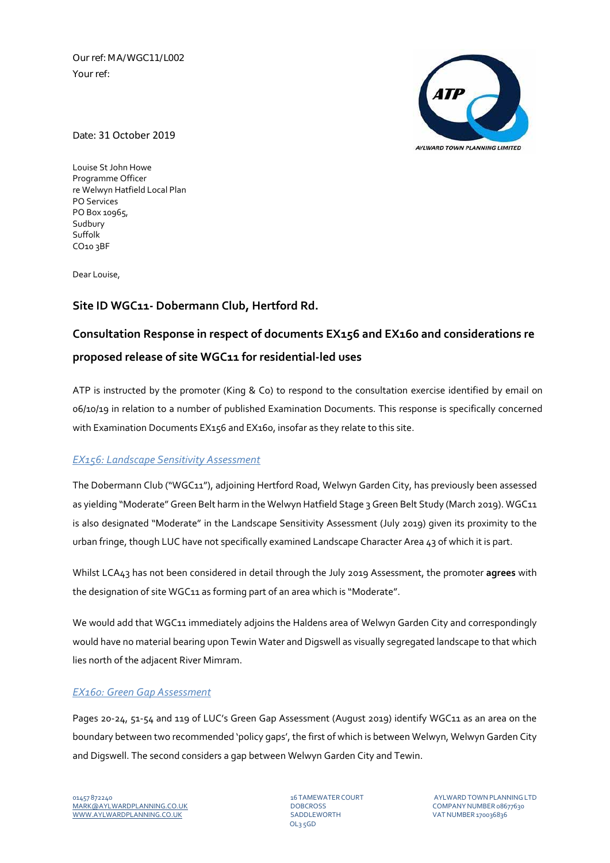Our ref: MA/WGC11/L002 Your ref:



### Date: 31 October 2019

Louise St John Howe Programme Officer re Welwyn Hatfield Local Plan PO Services PO Box 10965, Sudbury Suffolk CO10 3BF

Dear Louise,

## **Site ID WGC11‐ Dobermann Club, Hertford Rd.**

# **Consultation Response in respect of documents EX156 and EX160 and considerations re proposed release of site WGC11 for residential‐led uses**

ATP is instructed by the promoter (King & Co) to respond to the consultation exercise identified by email on 06/10/19 in relation to a number of published Examination Documents. This response is specifically concerned with Examination Documents EX156 and EX160, insofar as they relate to this site.

## *EX156: Landscape Sensitivity Assessment*

The Dobermann Club ("WGC11"), adjoining Hertford Road, Welwyn Garden City, has previously been assessed as yielding "Moderate" Green Belt harm in the Welwyn Hatfield Stage 3 Green Belt Study (March 2019). WGC11 is also designated "Moderate" in the Landscape Sensitivity Assessment (July 2019) given its proximity to the urban fringe, though LUC have not specifically examined Landscape Character Area 43 of which it is part.

Whilst LCA43 has not been considered in detail through the July 2019 Assessment, the promoter **agrees** with the designation of site WGC11 as forming part of an area which is "Moderate".

We would add that WGC11 immediately adjoins the Haldens area of Welwyn Garden City and correspondingly would have no material bearing upon Tewin Water and Digswell as visually segregated landscape to that which lies north of the adjacent River Mimram.

## *EX160: Green Gap Assessment*

Pages 20-24, 51-54 and 119 of LUC's Green Gap Assessment (August 2019) identify WGC11 as an area on the boundary between two recommended 'policy gaps', the first of which is between Welwyn, Welwyn Garden City and Digswell. The second considers a gap between Welwyn Garden City and Tewin.

OL3 5GD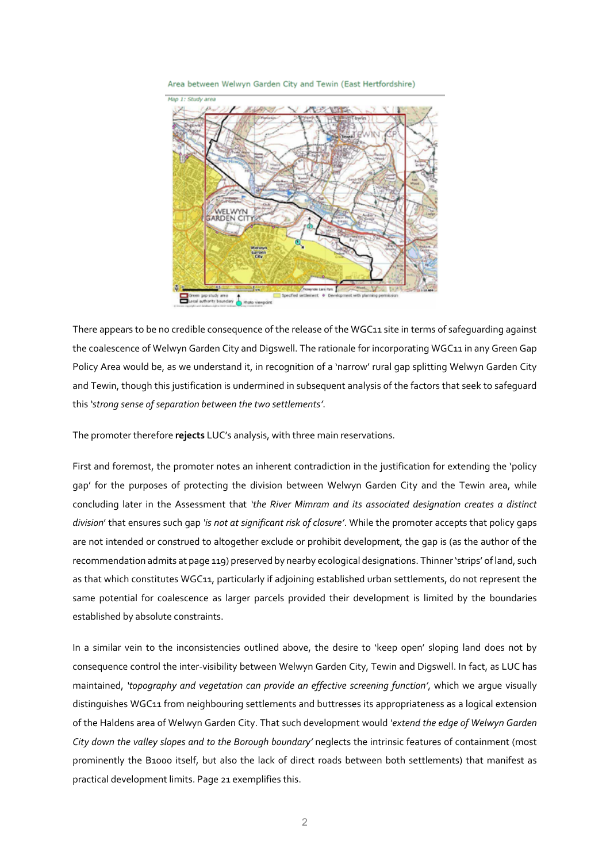Area between Welwyn Garden City and Tewin (East Hertfordshire)



There appears to be no credible consequence of the release of the WGC11 site in terms of safeguarding against the coalescence of Welwyn Garden City and Digswell. The rationale for incorporating WGC11 in any Green Gap Policy Area would be, as we understand it, in recognition of a 'narrow' rural gap splitting Welwyn Garden City and Tewin, though this justification is undermined in subsequent analysis of the factors that seek to safeguard this *'strong sense of separation between the two settlements'*.

The promoter therefore **rejects** LUC's analysis, with three main reservations.

First and foremost, the promoter notes an inherent contradiction in the justification for extending the 'policy gap' for the purposes of protecting the division between Welwyn Garden City and the Tewin area, while concluding later in the Assessment that *'the River Mimram and its associated designation creates a distinct division*' that ensures such gap *'is not at significant risk of closure'*. While the promoter accepts that policy gaps are not intended or construed to altogether exclude or prohibit development, the gap is (as the author of the recommendation admits at page 119) preserved by nearby ecological designations. Thinner'strips' of land, such as that which constitutes WGC11, particularly if adjoining established urban settlements, do not represent the same potential for coalescence as larger parcels provided their development is limited by the boundaries established by absolute constraints.

In a similar vein to the inconsistencies outlined above, the desire to 'keep open' sloping land does not by consequence control the inter‐visibility between Welwyn Garden City, Tewin and Digswell. In fact, as LUC has maintained, *'topography and vegetation can provide an effective screening function'*, which we argue visually distinguishes WGC11 from neighbouring settlements and buttresses its appropriateness as a logical extension of the Haldens area of Welwyn Garden City. That such development would *'extend the edge of Welwyn Garden City down the valley slopes and to the Borough boundary'* neglects the intrinsic features of containment (most prominently the B1000 itself, but also the lack of direct roads between both settlements) that manifest as practical development limits. Page 21 exemplifies this.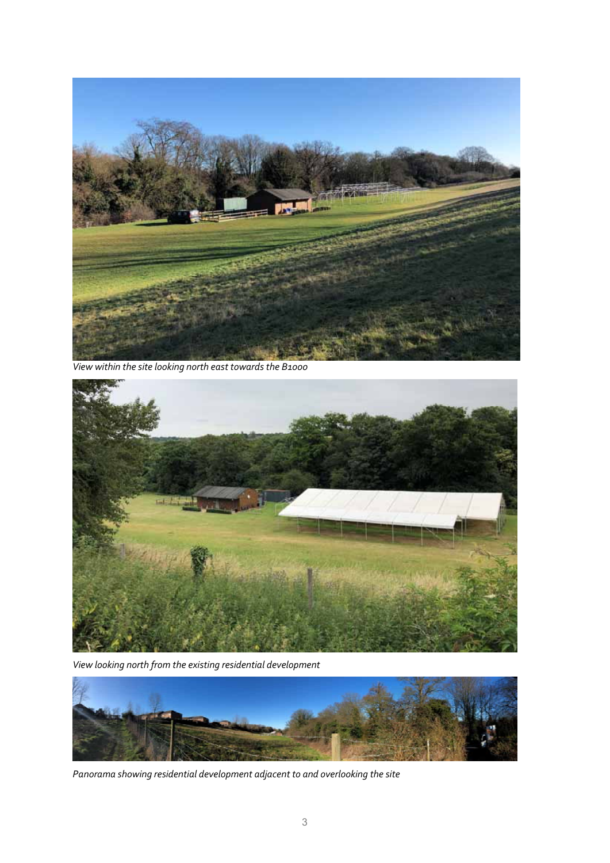

 *View within the site looking north east towards the B1000*



*View looking north from the existing residential development*



*Panorama showing residential development adjacent to and overlooking the site*